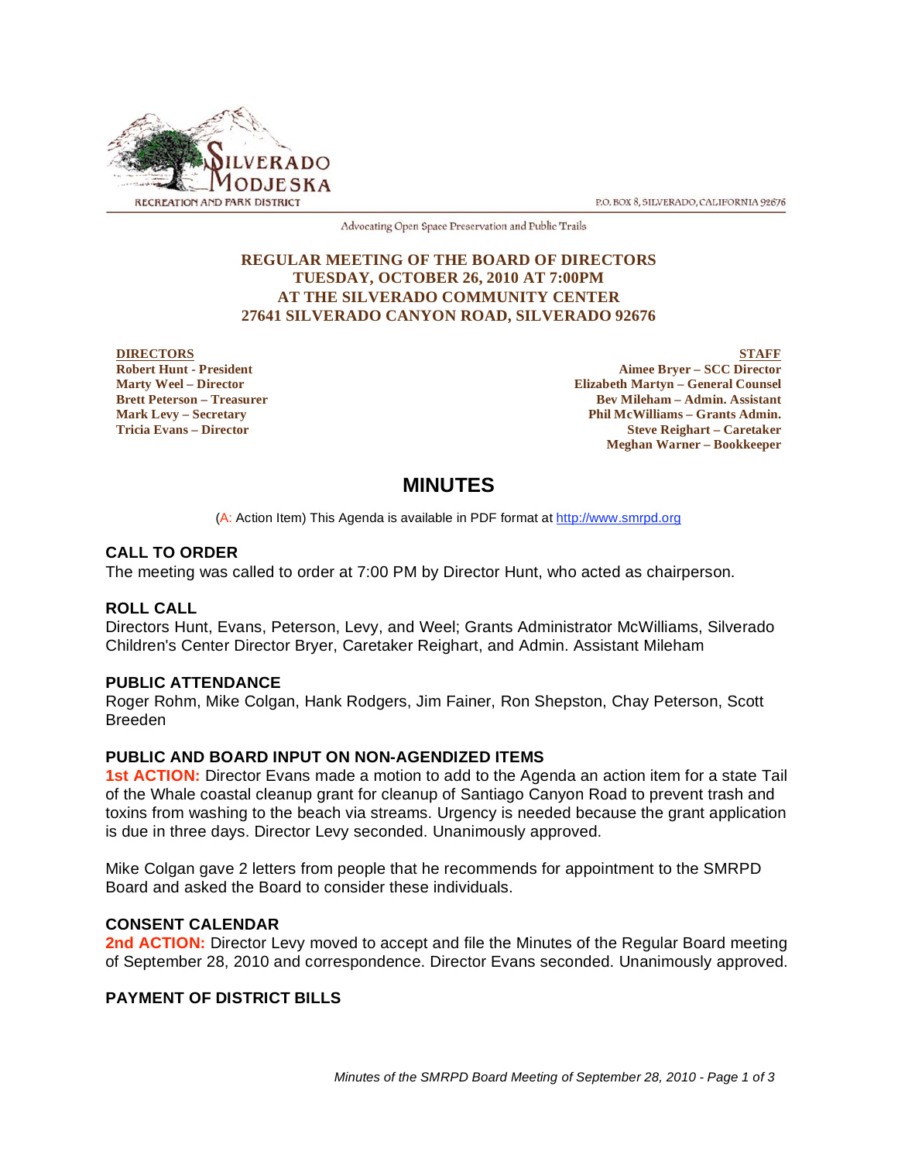

P.O. BOX 8, SILVERADO, CALIFORNIA 92676

Advocating Open Space Preservation and Public Trails

### **REGULAR MEETING OF THE BOARD OF DIRECTORS TUESDAY, OCTOBER 26, 2010 AT 7:00PM AT THE SILVERADO COMMUNITY CENTER 27641 SILVERADO CANYON ROAD, SILVERADO 92676**

#### **DIRECTORS Robert Hunt - President Marty Weel – Director Brett Peterson – Treasurer Mark Levy – Secretary Tricia Evans – Director**

**STAFF Aimee Bryer – SCC Director Elizabeth Martyn – General Counsel Bev Mileham – Admin. Assistant Phil McWilliams – Grants Admin. Steve Reighart – Caretaker Meghan Warner – Bookkeeper**

# **MINUTES**

(A: Action Item) This Agenda is available in PDF format at http://www.smrpd.org

# **CALL TO ORDER**

The meeting was called to order at 7:00 PM by Director Hunt, who acted as chairperson.

### **ROLL CALL**

Directors Hunt, Evans, Peterson, Levy, and Weel; Grants Administrator McWilliams, Silverado Children's Center Director Bryer, Caretaker Reighart, and Admin. Assistant Mileham

### **PUBLIC ATTENDANCE**

Roger Rohm, Mike Colgan, Hank Rodgers, Jim Fainer, Ron Shepston, Chay Peterson, Scott Breeden

### **PUBLIC AND BOARD INPUT ON NON-AGENDIZED ITEMS**

**1st ACTION:** Director Evans made a motion to add to the Agenda an action item for a state Tail of the Whale coastal cleanup grant for cleanup of Santiago Canyon Road to prevent trash and toxins from washing to the beach via streams. Urgency is needed because the grant application is due in three days. Director Levy seconded. Unanimously approved.

Mike Colgan gave 2 letters from people that he recommends for appointment to the SMRPD Board and asked the Board to consider these individuals.

### **CONSENT CALENDAR**

**2nd ACTION:** Director Levy moved to accept and file the Minutes of the Regular Board meeting of September 28, 2010 and correspondence. Director Evans seconded. Unanimously approved.

### **PAYMENT OF DISTRICT BILLS**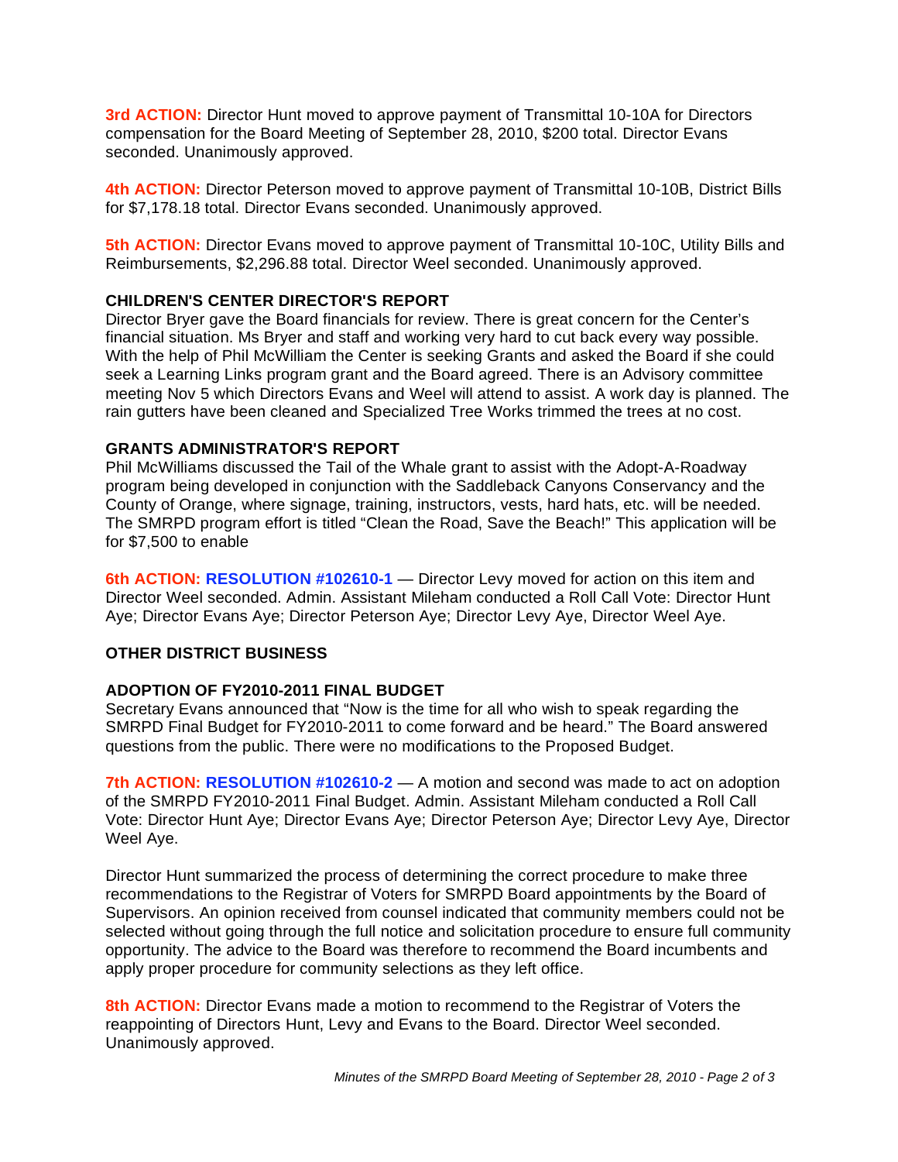**3rd ACTION:** Director Hunt moved to approve payment of Transmittal 10-10A for Directors compensation for the Board Meeting of September 28, 2010, \$200 total. Director Evans seconded. Unanimously approved.

**4th ACTION:** Director Peterson moved to approve payment of Transmittal 10-10B, District Bills for \$7,178.18 total. Director Evans seconded. Unanimously approved.

**5th ACTION:** Director Evans moved to approve payment of Transmittal 10-10C, Utility Bills and Reimbursements, \$2,296.88 total. Director Weel seconded. Unanimously approved.

## **CHILDREN'S CENTER DIRECTOR'S REPORT**

Director Bryer gave the Board financials for review. There is great concern for the Center's financial situation. Ms Bryer and staff and working very hard to cut back every way possible. With the help of Phil McWilliam the Center is seeking Grants and asked the Board if she could seek a Learning Links program grant and the Board agreed. There is an Advisory committee meeting Nov 5 which Directors Evans and Weel will attend to assist. A work day is planned. The rain gutters have been cleaned and Specialized Tree Works trimmed the trees at no cost.

### **GRANTS ADMINISTRATOR'S REPORT**

Phil McWilliams discussed the Tail of the Whale grant to assist with the Adopt-A-Roadway program being developed in conjunction with the Saddleback Canyons Conservancy and the County of Orange, where signage, training, instructors, vests, hard hats, etc. will be needed. The SMRPD program effort is titled "Clean the Road, Save the Beach!" This application will be for \$7,500 to enable

**6th ACTION: RESOLUTION #102610-1** — Director Levy moved for action on this item and Director Weel seconded. Admin. Assistant Mileham conducted a Roll Call Vote: Director Hunt Aye; Director Evans Aye; Director Peterson Aye; Director Levy Aye, Director Weel Aye.

### **OTHER DISTRICT BUSINESS**

# **ADOPTION OF FY2010-2011 FINAL BUDGET**

Secretary Evans announced that "Now is the time for all who wish to speak regarding the SMRPD Final Budget for FY2010-2011 to come forward and be heard." The Board answered questions from the public. There were no modifications to the Proposed Budget.

**7th ACTION: RESOLUTION #102610-2** — A motion and second was made to act on adoption of the SMRPD FY2010-2011 Final Budget. Admin. Assistant Mileham conducted a Roll Call Vote: Director Hunt Aye; Director Evans Aye; Director Peterson Aye; Director Levy Aye, Director Weel Aye.

Director Hunt summarized the process of determining the correct procedure to make three recommendations to the Registrar of Voters for SMRPD Board appointments by the Board of Supervisors. An opinion received from counsel indicated that community members could not be selected without going through the full notice and solicitation procedure to ensure full community opportunity. The advice to the Board was therefore to recommend the Board incumbents and apply proper procedure for community selections as they left office.

**8th ACTION:** Director Evans made a motion to recommend to the Registrar of Voters the reappointing of Directors Hunt, Levy and Evans to the Board. Director Weel seconded. Unanimously approved.